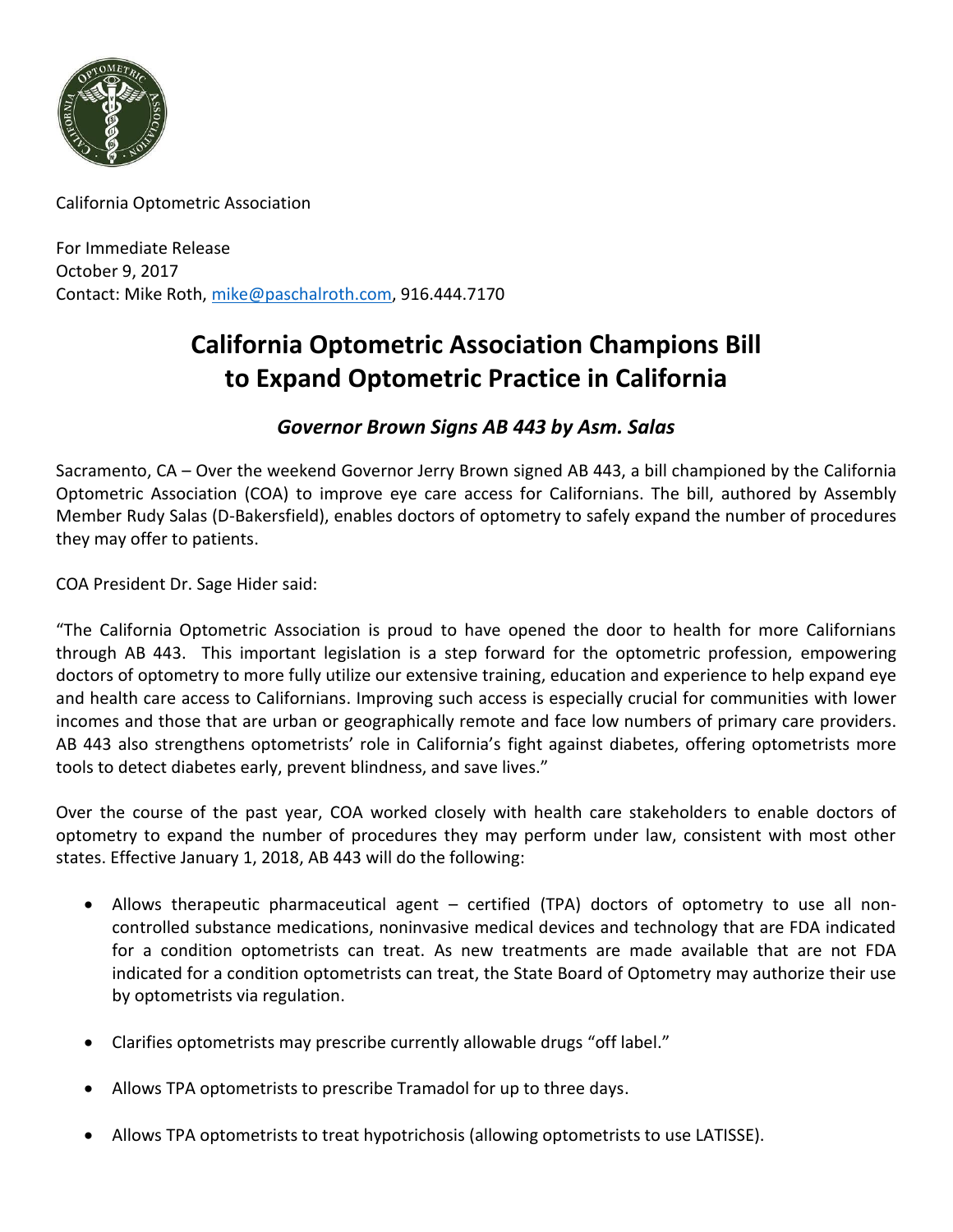

California Optometric Association

For Immediate Release October 9, 2017 Contact: Mike Roth, [mike@paschalroth.com,](mailto:mike@paschalroth.com) 916.444.7170

## **California Optometric Association Champions Bill to Expand Optometric Practice in California**

## *Governor Brown Signs AB 443 by Asm. Salas*

Sacramento, CA – Over the weekend Governor Jerry Brown signed AB 443, a bill championed by the California Optometric Association (COA) to improve eye care access for Californians. The bill, authored by Assembly Member Rudy Salas (D-Bakersfield), enables doctors of optometry to safely expand the number of procedures they may offer to patients.

COA President Dr. Sage Hider said:

"The California Optometric Association is proud to have opened the door to health for more Californians through AB 443. This important legislation is a step forward for the optometric profession, empowering doctors of optometry to more fully utilize our extensive training, education and experience to help expand eye and health care access to Californians. Improving such access is especially crucial for communities with lower incomes and those that are urban or geographically remote and face low numbers of primary care providers. AB 443 also strengthens optometrists' role in California's fight against diabetes, offering optometrists more tools to detect diabetes early, prevent blindness, and save lives."

Over the course of the past year, COA worked closely with health care stakeholders to enable doctors of optometry to expand the number of procedures they may perform under law, consistent with most other states. Effective January 1, 2018, AB 443 will do the following:

- Allows therapeutic pharmaceutical agent certified (TPA) doctors of optometry to use all noncontrolled substance medications, noninvasive medical devices and technology that are FDA indicated for a condition optometrists can treat. As new treatments are made available that are not FDA indicated for a condition optometrists can treat, the State Board of Optometry may authorize their use by optometrists via regulation.
- Clarifies optometrists may prescribe currently allowable drugs "off label."
- Allows TPA optometrists to prescribe Tramadol for up to three days.
- Allows TPA optometrists to treat hypotrichosis (allowing optometrists to use LATISSE).